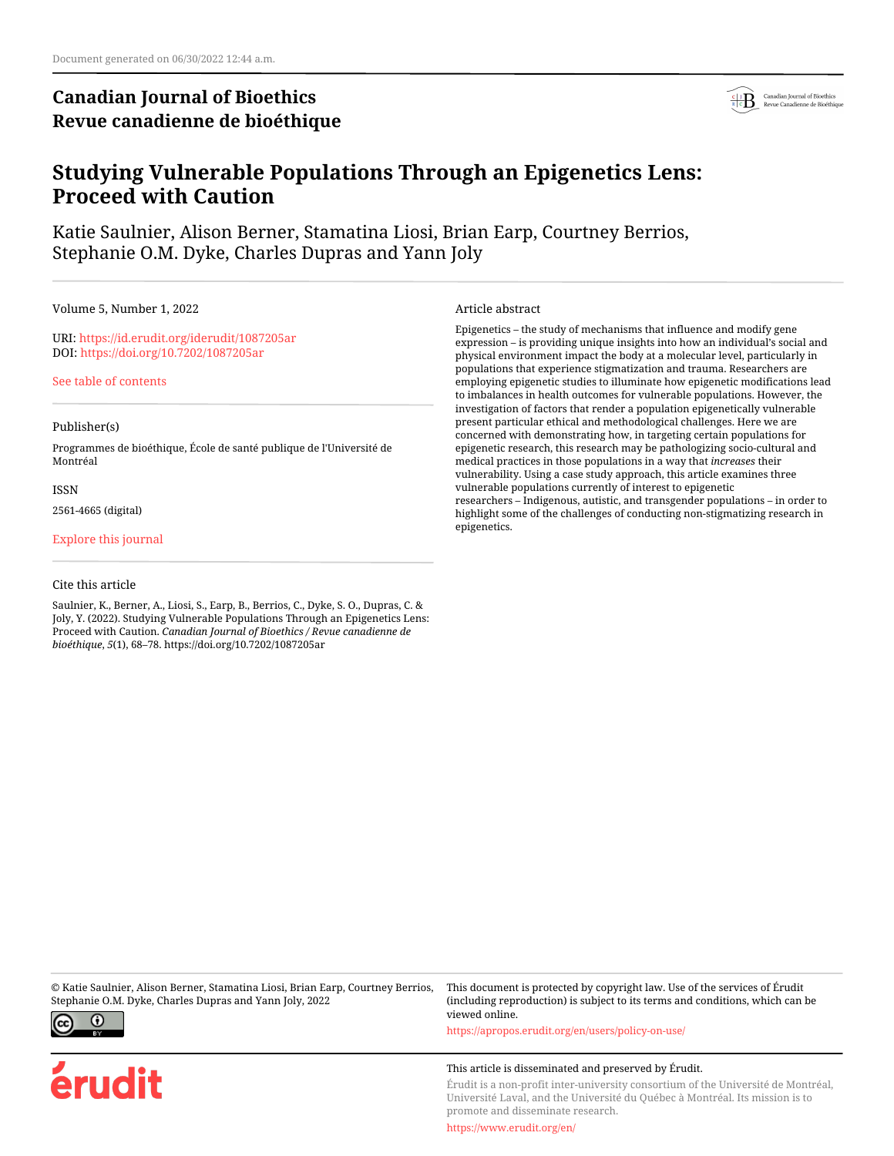# **Canadian Journal of Bioethics Revue canadienne de bioéthique**



# **Studying Vulnerable Populations Through an Epigenetics Lens: Proceed with Caution**

Katie Saulnier, Alison Berner, Stamatina Liosi, Brian Earp, Courtney Berrios, Stephanie O.M. Dyke, Charles Dupras and Yann Joly

Volume 5, Number 1, 2022

URI:<https://id.erudit.org/iderudit/1087205ar> DOI:<https://doi.org/10.7202/1087205ar>

[See table of contents](https://www.erudit.org/en/journals/bioethics/2022-v5-n1-bioethics06848/)

#### Publisher(s)

Programmes de bioéthique, École de santé publique de l'Université de Montréal

ISSN

2561-4665 (digital)

[Explore this journal](https://www.erudit.org/en/journals/bioethics/)

#### Cite this article

Saulnier, K., Berner, A., Liosi, S., Earp, B., Berrios, C., Dyke, S. O., Dupras, C. & Joly, Y. (2022). Studying Vulnerable Populations Through an Epigenetics Lens: Proceed with Caution. *Canadian Journal of Bioethics / Revue canadienne de bioéthique*, *5*(1), 68–78. https://doi.org/10.7202/1087205ar

Article abstract

Epigenetics – the study of mechanisms that influence and modify gene expression – is providing unique insights into how an individual's social and physical environment impact the body at a molecular level, particularly in populations that experience stigmatization and trauma. Researchers are employing epigenetic studies to illuminate how epigenetic modifications lead to imbalances in health outcomes for vulnerable populations. However, the investigation of factors that render a population epigenetically vulnerable present particular ethical and methodological challenges. Here we are concerned with demonstrating how, in targeting certain populations for epigenetic research, this research may be pathologizing socio-cultural and medical practices in those populations in a way that *increases* their vulnerability. Using a case study approach, this article examines three vulnerable populations currently of interest to epigenetic researchers – Indigenous, autistic, and transgender populations – in order to highlight some of the challenges of conducting non-stigmatizing research in epigenetics.

© Katie Saulnier, Alison Berner, Stamatina Liosi, Brian Earp, Courtney Berrios, Stephanie O.M. Dyke, Charles Dupras and Yann Joly, 2022



érudit

This document is protected by copyright law. Use of the services of Érudit (including reproduction) is subject to its terms and conditions, which can be viewed online.

<https://apropos.erudit.org/en/users/policy-on-use/>

#### This article is disseminated and preserved by Érudit.

Érudit is a non-profit inter-university consortium of the Université de Montréal, Université Laval, and the Université du Québec à Montréal. Its mission is to promote and disseminate research.

<https://www.erudit.org/en/>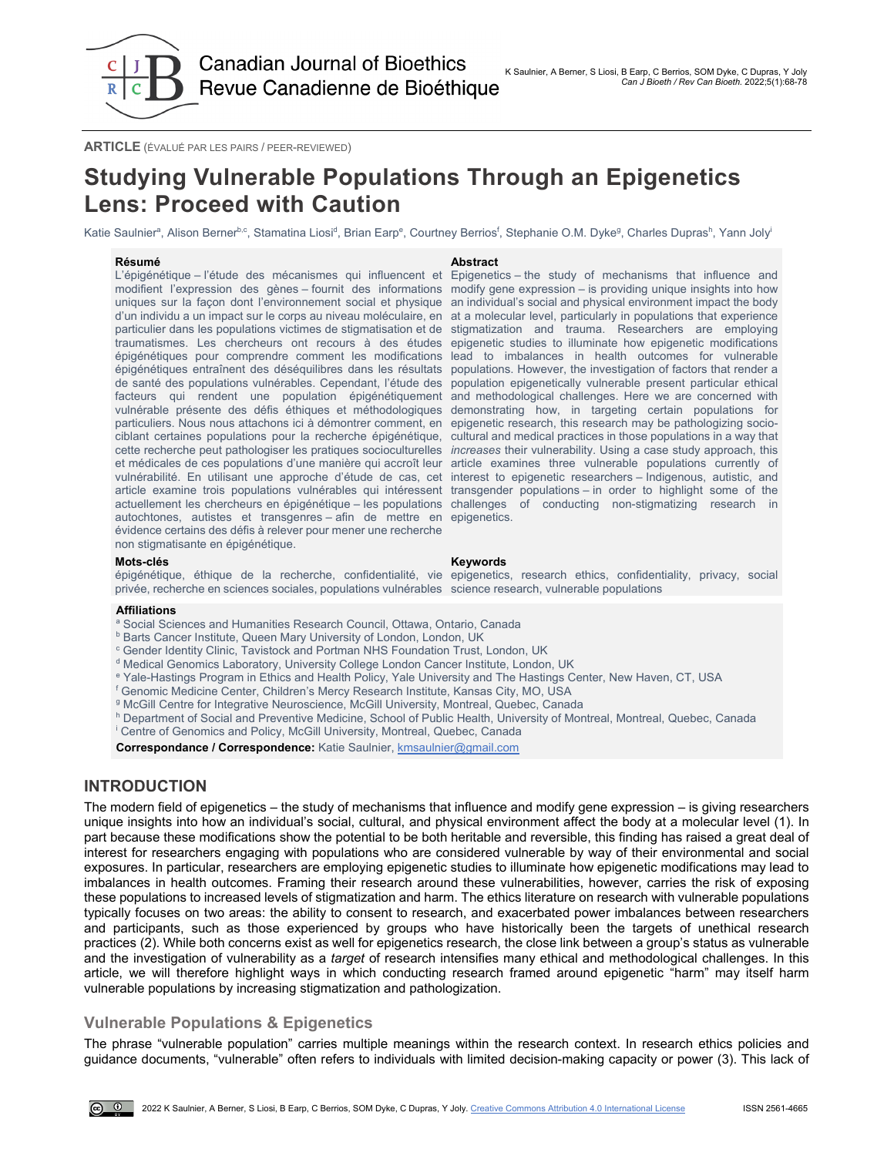

**ARTICLE** (ÉVALUÉ PAR LES PAIRS / PEER-REVIEWED)

# **Studying Vulnerable Populations Through an Epigenetics Lens: Proceed with Caution**

Katie Saulnierª, Alison Berner<sup>b,c</sup>, Stamatina Liosi<sup>d</sup>, Brian Earp<sup>e</sup>, Courtney Berrios<sup>f</sup>, Stephanie O.M. Dykeª, Charles Duprasʰ, Yann Joly<sup>i</sup>

#### **Résumé Abstract**

L'épigénétique – l'étude des mécanismes qui influencent et Epigenetics – the study of mechanisms that influence and modifient l'expression des gènes – fournit des informations modify gene expression – is providing unique insights into how uniques sur la façon dont l'environnement social et physique an individual's social and physical environment impact the body d'un individu a un impact sur le corps au niveau moléculaire, en at a molecular level, particularly in populations that experience particulier dans les populations victimes de stigmatisation et de stigmatization and trauma. Researchers are employing traumatismes. Les chercheurs ont recours à des études epigenetic studies to illuminate how epigenetic modifications épigénétiques pour comprendre comment les modifications lead to imbalances in health outcomes for vulnerable épigénétiques entraînent des déséquilibres dans les résultats populations. However, the investigation of factors that render a de santé des populations vulnérables. Cependant, l'étude des population epigenetically vulnerable present particular ethical facteurs qui rendent une population épigénétiquement and methodological challenges. Here we are concerned with vulnérable présente des défis éthiques et méthodologiques demonstrating how, in targeting certain populations for particuliers. Nous nous attachons ici à démontrer comment, en epigenetic research, this research may be pathologizing sociociblant certaines populations pour la recherche épigénétique, cultural and medical practices in those populations in a way that cette recherche peut pathologiser les pratiques socioculturelles *increases* their vulnerability. Using a case study approach, this et médicales de ces populations d'une manière qui accroît leur article examines three vulnerable populations currently of vulnérabilité. En utilisant une approche d'étude de cas, cet interest to epigenetic researchers – Indigenous, autistic, and article examine trois populations vulnérables qui intéressent transgender populations–in order to highlight some of the actuellement les chercheurs en épigénétique – les populations challenges of conducting non-stigmatizing research in autochtones, autistes et transgenres – afin de mettre en epigenetics. évidence certains des défis à relever pour mener une recherche non stigmatisante en épigénétique.

#### **Mots-clés Keywords**

épigénétique, éthique de la recherche, confidentialité, vie epigenetics, research ethics, confidentiality, privacy, social privée, recherche en sciences sociales, populations vulnérables science research, vulnerable populations

#### **Affiliations**

- <sup>a</sup> Social Sciences and Humanities Research Council, Ottawa, Ontario, Canada
- b Barts Cancer Institute, Queen Mary University of London, London, UK
- <sup>c</sup> Gender Identity Clinic, Tavistock and Portman NHS Foundation Trust, London, UK
- <sup>d</sup> Medical Genomics Laboratory, University College London Cancer Institute, London, UK
- <sup>e</sup> Yale-Hastings Program in Ethics and Health Policy, Yale University and The Hastings Center, New Haven, CT, USA
- f Genomic Medicine Center, Children's Mercy Research Institute, Kansas City, MO, USA
- <sup>g</sup> McGill Centre for Integrative Neuroscience, McGill University, Montreal, Quebec, Canada
- h Department of Social and Preventive Medicine, School of Public Health, University of Montreal, Montreal, Quebec, Canada
- i Centre of Genomics and Policy, McGill University, Montreal, Quebec, Canada

Correspondance / Correspondence: Katie Saulnier, **kmsaulnier@gmail.com** 

## **INTRODUCTION**

The modern field of epigenetics – the study of mechanisms that influence and modify gene expression – is giving researchers unique insights into how an individual's social, cultural, and physical environment affect the body at a molecular level (1). In part because these modifications show the potential to be both heritable and reversible, this finding has raised a great deal of interest for researchers engaging with populations who are considered vulnerable by way of their environmental and social exposures. In particular, researchers are employing epigenetic studies to illuminate how epigenetic modifications may lead to imbalances in health outcomes. Framing their research around these vulnerabilities, however, carries the risk of exposing these populations to increased levels of stigmatization and harm. The ethics literature on research with vulnerable populations typically focuses on two areas: the ability to consent to research, and exacerbated power imbalances between researchers and participants, such as those experienced by groups who have historically been the targets of unethical research practices (2). While both concerns exist as well for epigenetics research, the close link between a group's status as vulnerable and the investigation of vulnerability as a *target* of research intensifies many ethical and methodological challenges. In this article, we will therefore highlight ways in which conducting research framed around epigenetic "harm" may itself harm vulnerable populations by increasing stigmatization and pathologization.

## **Vulnerable Populations & Epigenetics**

The phrase "vulnerable population" carries multiple meanings within the research context. In research ethics policies and guidance documents, "vulnerable" often refers to individuals with limited decision-making capacity or power (3). This lack of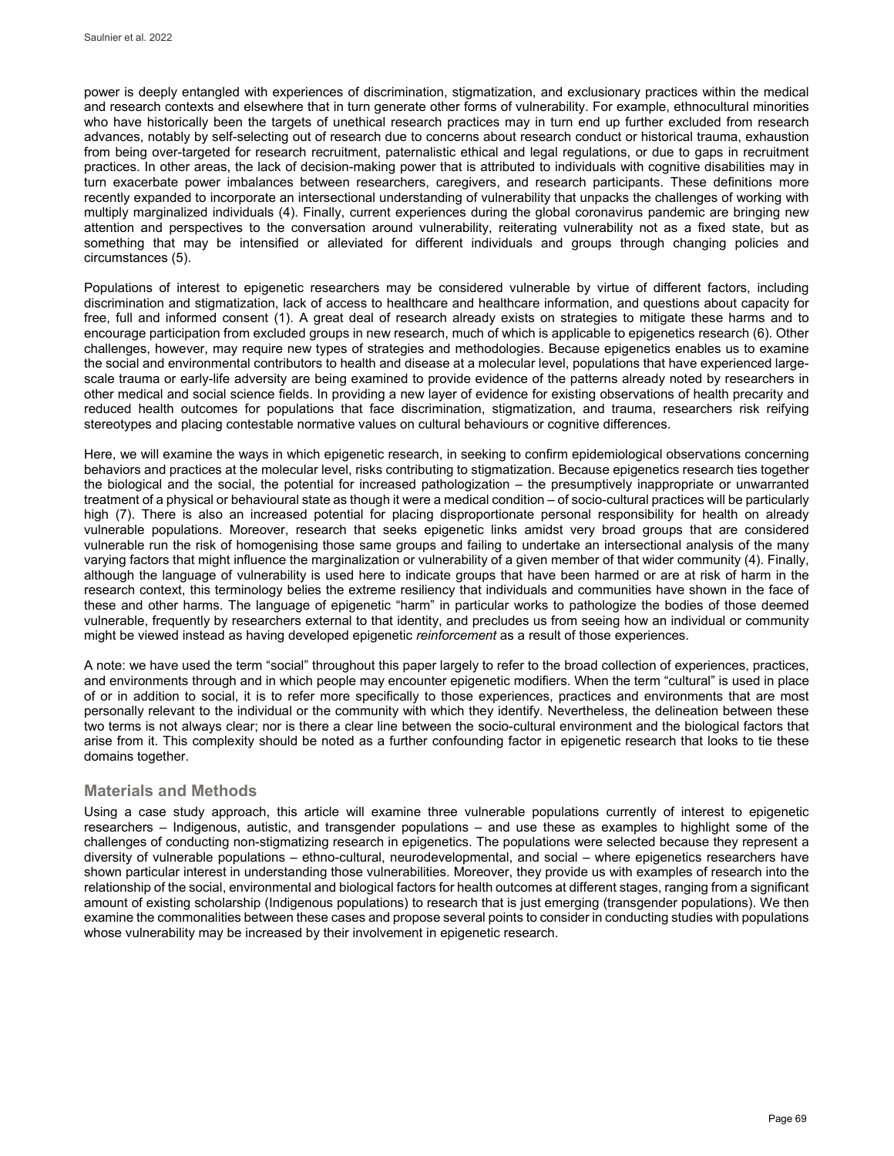power is deeply entangled with experiences of discrimination, stigmatization, and exclusionary practices within the medical and research contexts and elsewhere that in turn generate other forms of vulnerability. For example, ethnocultural minorities who have historically been the targets of unethical research practices may in turn end up further excluded from research advances, notably by self-selecting out of research due to concerns about research conduct or historical trauma, exhaustion from being over-targeted for research recruitment, paternalistic ethical and legal regulations, or due to gaps in recruitment practices. In other areas, the lack of decision-making power that is attributed to individuals with cognitive disabilities may in turn exacerbate power imbalances between researchers, caregivers, and research participants. These definitions more recently expanded to incorporate an intersectional understanding of vulnerability that unpacks the challenges of working with multiply marginalized individuals (4). Finally, current experiences during the global coronavirus pandemic are bringing new attention and perspectives to the conversation around vulnerability, reiterating vulnerability not as a fixed state, but as something that may be intensified or alleviated for different individuals and groups through changing policies and circumstances (5).

Populations of interest to epigenetic researchers may be considered vulnerable by virtue of different factors, including discrimination and stigmatization, lack of access to healthcare and healthcare information, and questions about capacity for free, full and informed consent (1). A great deal of research already exists on strategies to mitigate these harms and to encourage participation from excluded groups in new research, much of which is applicable to epigenetics research (6). Other challenges, however, may require new types of strategies and methodologies. Because epigenetics enables us to examine the social and environmental contributors to health and disease at a molecular level, populations that have experienced largescale trauma or early-life adversity are being examined to provide evidence of the patterns already noted by researchers in other medical and social science fields. In providing a new layer of evidence for existing observations of health precarity and reduced health outcomes for populations that face discrimination, stigmatization, and trauma, researchers risk reifying stereotypes and placing contestable normative values on cultural behaviours or cognitive differences.

Here, we will examine the ways in which epigenetic research, in seeking to confirm epidemiological observations concerning behaviors and practices at the molecular level, risks contributing to stigmatization. Because epigenetics research ties together the biological and the social, the potential for increased pathologization – the presumptively inappropriate or unwarranted treatment of a physical or behavioural state as though it were a medical condition – of socio-cultural practices will be particularly high (7). There is also an increased potential for placing disproportionate personal responsibility for health on already vulnerable populations. Moreover, research that seeks epigenetic links amidst very broad groups that are considered vulnerable run the risk of homogenising those same groups and failing to undertake an intersectional analysis of the many varying factors that might influence the marginalization or vulnerability of a given member of that wider community (4). Finally, although the language of vulnerability is used here to indicate groups that have been harmed or are at risk of harm in the research context, this terminology belies the extreme resiliency that individuals and communities have shown in the face of these and other harms. The language of epigenetic "harm" in particular works to pathologize the bodies of those deemed vulnerable, frequently by researchers external to that identity, and precludes us from seeing how an individual or community might be viewed instead as having developed epigenetic *reinforcement* as a result of those experiences.

A note: we have used the term "social" throughout this paper largely to refer to the broad collection of experiences, practices, and environments through and in which people may encounter epigenetic modifiers. When the term "cultural" is used in place of or in addition to social, it is to refer more specifically to those experiences, practices and environments that are most personally relevant to the individual or the community with which they identify. Nevertheless, the delineation between these two terms is not always clear; nor is there a clear line between the socio-cultural environment and the biological factors that arise from it. This complexity should be noted as a further confounding factor in epigenetic research that looks to tie these domains together.

#### **Materials and Methods**

Using a case study approach, this article will examine three vulnerable populations currently of interest to epigenetic researchers – Indigenous, autistic, and transgender populations – and use these as examples to highlight some of the challenges of conducting non-stigmatizing research in epigenetics. The populations were selected because they represent a diversity of vulnerable populations – ethno-cultural, neurodevelopmental, and social – where epigenetics researchers have shown particular interest in understanding those vulnerabilities. Moreover, they provide us with examples of research into the relationship of the social, environmental and biological factors for health outcomes at different stages, ranging from a significant amount of existing scholarship (Indigenous populations) to research that is just emerging (transgender populations). We then examine the commonalities between these cases and propose several points to consider in conducting studies with populations whose vulnerability may be increased by their involvement in epigenetic research.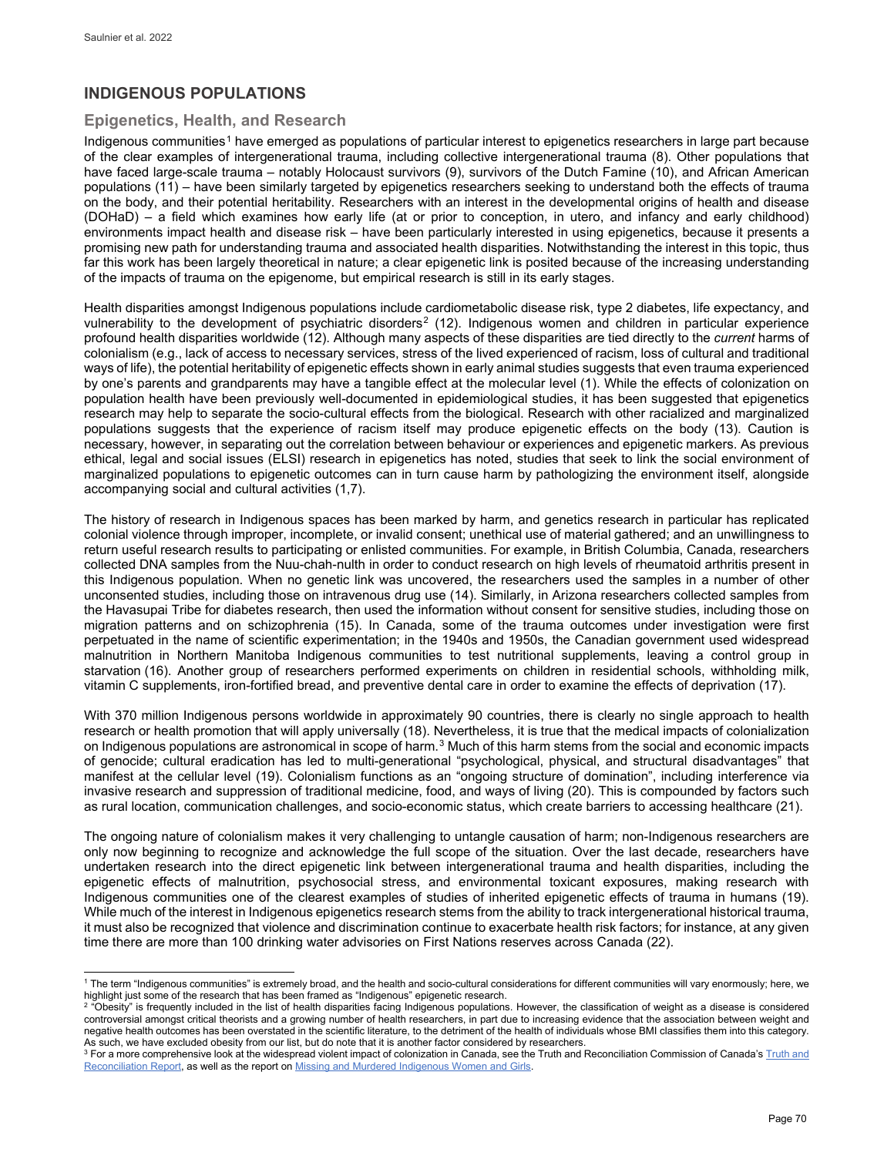## **INDIGENOUS POPULATIONS**

## **Epigenetics, Health, and Research**

Indigenous communities<sup>[1](#page-3-0)</sup> have emerged as populations of particular interest to epigenetics researchers in large part because of the clear examples of intergenerational trauma, including collective intergenerational trauma (8). Other populations that have faced large-scale trauma – notably Holocaust survivors (9), survivors of the Dutch Famine (10), and African American populations (11) – have been similarly targeted by epigenetics researchers seeking to understand both the effects of trauma on the body, and their potential heritability. Researchers with an interest in the developmental origins of health and disease (DOHaD) – a field which examines how early life (at or prior to conception, in utero, and infancy and early childhood) environments impact health and disease risk – have been particularly interested in using epigenetics, because it presents a promising new path for understanding trauma and associated health disparities. Notwithstanding the interest in this topic, thus far this work has been largely theoretical in nature; a clear epigenetic link is posited because of the increasing understanding of the impacts of trauma on the epigenome, but empirical research is still in its early stages.

Health disparities amongst Indigenous populations include cardiometabolic disease risk, type 2 diabetes, life expectancy, and vulnerability to the development of psychiatric disorders<sup>[2](#page-3-1)</sup> (12). Indigenous women and children in particular experience profound health disparities worldwide (12). Although many aspects of these disparities are tied directly to the *current* harms of colonialism (e.g., lack of access to necessary services, stress of the lived experienced of racism, loss of cultural and traditional ways of life), the potential heritability of epigenetic effects shown in early animal studies suggests that even trauma experienced by one's parents and grandparents may have a tangible effect at the molecular level (1). While the effects of colonization on population health have been previously well-documented in epidemiological studies, it has been suggested that epigenetics research may help to separate the socio-cultural effects from the biological. Research with other racialized and marginalized populations suggests that the experience of racism itself may produce epigenetic effects on the body (13). Caution is necessary, however, in separating out the correlation between behaviour or experiences and epigenetic markers. As previous ethical, legal and social issues (ELSI) research in epigenetics has noted, studies that seek to link the social environment of marginalized populations to epigenetic outcomes can in turn cause harm by pathologizing the environment itself, alongside accompanying social and cultural activities (1,7).

The history of research in Indigenous spaces has been marked by harm, and genetics research in particular has replicated colonial violence through improper, incomplete, or invalid consent; unethical use of material gathered; and an unwillingness to return useful research results to participating or enlisted communities. For example, in British Columbia, Canada, researchers collected DNA samples from the Nuu-chah-nulth in order to conduct research on high levels of rheumatoid arthritis present in this Indigenous population. When no genetic link was uncovered, the researchers used the samples in a number of other unconsented studies, including those on intravenous drug use (14). Similarly, in Arizona researchers collected samples from the Havasupai Tribe for diabetes research, then used the information without consent for sensitive studies, including those on migration patterns and on schizophrenia (15). In Canada, some of the trauma outcomes under investigation were first perpetuated in the name of scientific experimentation; in the 1940s and 1950s, the Canadian government used widespread malnutrition in Northern Manitoba Indigenous communities to test nutritional supplements, leaving a control group in starvation (16). Another group of researchers performed experiments on children in residential schools, withholding milk, vitamin C supplements, iron-fortified bread, and preventive dental care in order to examine the effects of deprivation (17).

With 370 million Indigenous persons worldwide in approximately 90 countries, there is clearly no single approach to health research or health promotion that will apply universally (18). Nevertheless, it is true that the medical impacts of colonialization on Indigenous populations are astronomical in scope of harm.[3](#page-3-2) Much of this harm stems from the social and economic impacts of genocide; cultural eradication has led to multi-generational "psychological, physical, and structural disadvantages" that manifest at the cellular level (19). Colonialism functions as an "ongoing structure of domination", including interference via invasive research and suppression of traditional medicine, food, and ways of living (20). This is compounded by factors such as rural location, communication challenges, and socio-economic status, which create barriers to accessing healthcare (21).

The ongoing nature of colonialism makes it very challenging to untangle causation of harm; non-Indigenous researchers are only now beginning to recognize and acknowledge the full scope of the situation. Over the last decade, researchers have undertaken research into the direct epigenetic link between intergenerational trauma and health disparities, including the epigenetic effects of malnutrition, psychosocial stress, and environmental toxicant exposures, making research with Indigenous communities one of the clearest examples of studies of inherited epigenetic effects of trauma in humans (19). While much of the interest in Indigenous epigenetics research stems from the ability to track intergenerational historical trauma, it must also be recognized that violence and discrimination continue to exacerbate health risk factors; for instance, at any given time there are more than 100 drinking water advisories on First Nations reserves across Canada (22).

<span id="page-3-0"></span>j <sup>1</sup> The term "Indigenous communities" is extremely broad, and the health and socio-cultural considerations for different communities will vary enormously; here, we highlight just some of the research that has been framed as "Indigenous" epigenetic research.<br><sup>2</sup> "Obesity" is frequently included in the list of health disparities facing Indigenous populations. However, the classificatio

<span id="page-3-1"></span>controversial amongst critical theorists and a growing number of health researchers, in part due to increasing evidence that the association between weight and negative health outcomes has been overstated in the scientific literature, to the detriment of the health of individuals whose BMI classifies them into this category.

<span id="page-3-2"></span>As such, we have excluded obesity from our list, but do note that it is another factor considered by researchers.<br><sup>3</sup> For a more comprehensive look at the widespread violent impact of colonization in Canada, see the Truth [Reconciliation Report,](http://nctr.ca/reports.php) as well as the report o[n Missing and Murdered Indigenous Women and Girls.](https://www.mmiwg-ffada.ca/final-report/)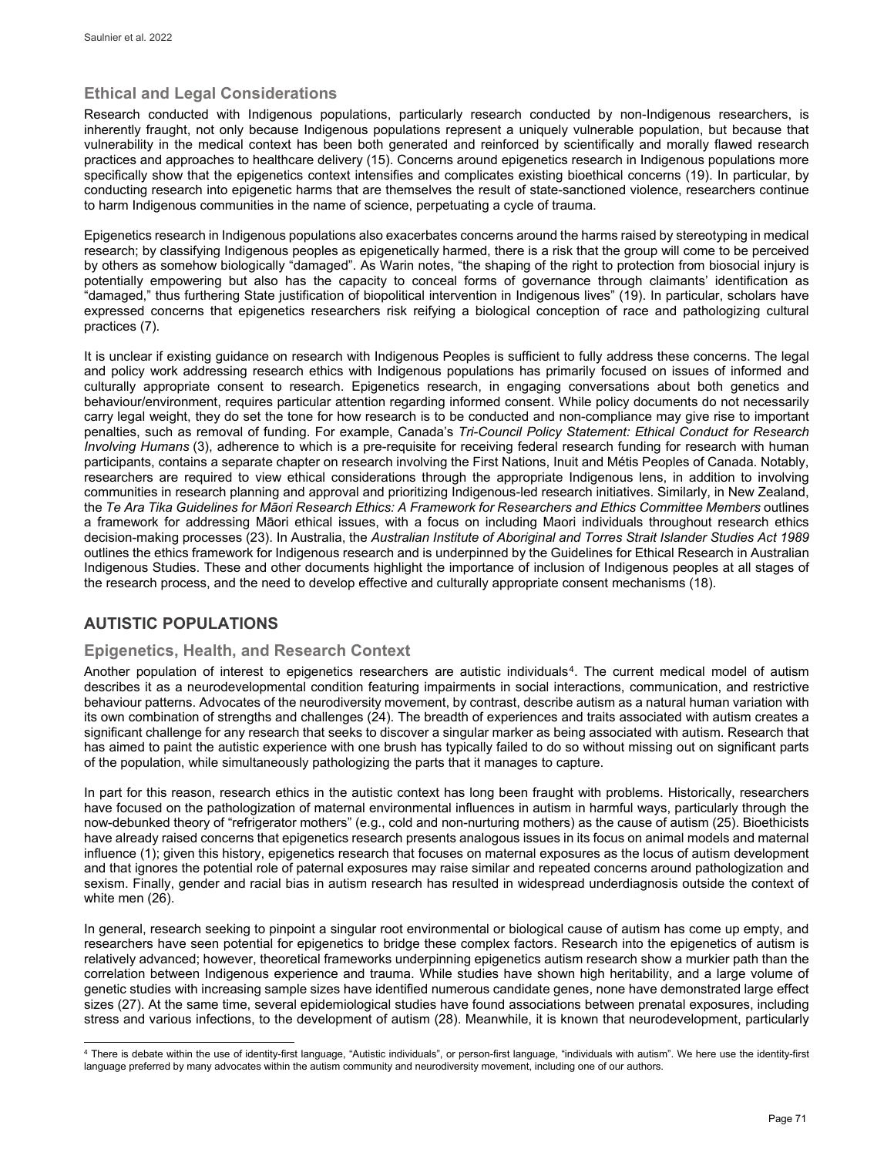## **Ethical and Legal Considerations**

Research conducted with Indigenous populations, particularly research conducted by non-Indigenous researchers, is inherently fraught, not only because Indigenous populations represent a uniquely vulnerable population, but because that vulnerability in the medical context has been both generated and reinforced by scientifically and morally flawed research practices and approaches to healthcare delivery (15). Concerns around epigenetics research in Indigenous populations more specifically show that the epigenetics context intensifies and complicates existing bioethical concerns (19). In particular, by conducting research into epigenetic harms that are themselves the result of state-sanctioned violence, researchers continue to harm Indigenous communities in the name of science, perpetuating a cycle of trauma.

Epigenetics research in Indigenous populations also exacerbates concerns around the harms raised by stereotyping in medical research; by classifying Indigenous peoples as epigenetically harmed, there is a risk that the group will come to be perceived by others as somehow biologically "damaged". As Warin notes, "the shaping of the right to protection from biosocial injury is potentially empowering but also has the capacity to conceal forms of governance through claimants' identification as "damaged," thus furthering State justification of biopolitical intervention in Indigenous lives" (19). In particular, scholars have expressed concerns that epigenetics researchers risk reifying a biological conception of race and pathologizing cultural practices (7).

It is unclear if existing guidance on research with Indigenous Peoples is sufficient to fully address these concerns. The legal and policy work addressing research ethics with Indigenous populations has primarily focused on issues of informed and culturally appropriate consent to research. Epigenetics research, in engaging conversations about both genetics and behaviour/environment, requires particular attention regarding informed consent. While policy documents do not necessarily carry legal weight, they do set the tone for how research is to be conducted and non-compliance may give rise to important penalties, such as removal of funding. For example, Canada's *Tri-Council Policy Statement: Ethical Conduct for Research Involving Humans* (3), adherence to which is a pre-requisite for receiving federal research funding for research with human participants, contains a separate chapter on research involving the First Nations, Inuit and Métis Peoples of Canada. Notably, researchers are required to view ethical considerations through the appropriate Indigenous lens, in addition to involving communities in research planning and approval and prioritizing Indigenous-led research initiatives. Similarly, in New Zealand, the *Te Ara Tika Guidelines for Māori Research Ethics: A Framework for Researchers and Ethics Committee Members* outlines a framework for addressing Māori ethical issues, with a focus on including Maori individuals throughout research ethics decision-making processes (23). In Australia, the *Australian Institute of Aboriginal and Torres Strait Islander Studies Act 1989* outlines the ethics framework for Indigenous research and is underpinned by the Guidelines for Ethical Research in Australian Indigenous Studies. These and other documents highlight the importance of inclusion of Indigenous peoples at all stages of the research process, and the need to develop effective and culturally appropriate consent mechanisms (18).

## **AUTISTIC POPULATIONS**

## **Epigenetics, Health, and Research Context**

Another population of interest to epigenetics researchers are autistic individuals<sup>[4](#page-4-0)</sup>. The current medical model of autism describes it as a neurodevelopmental condition featuring impairments in social interactions, communication, and restrictive behaviour patterns. Advocates of the neurodiversity movement, by contrast, describe autism as a natural human variation with its own combination of strengths and challenges (24). The breadth of experiences and traits associated with autism creates a significant challenge for any research that seeks to discover a singular marker as being associated with autism. Research that has aimed to paint the autistic experience with one brush has typically failed to do so without missing out on significant parts of the population, while simultaneously pathologizing the parts that it manages to capture.

In part for this reason, research ethics in the autistic context has long been fraught with problems. Historically, researchers have focused on the pathologization of maternal environmental influences in autism in harmful ways, particularly through the now-debunked theory of "refrigerator mothers" (e.g., cold and non-nurturing mothers) as the cause of autism (25). Bioethicists have already raised concerns that epigenetics research presents analogous issues in its focus on animal models and maternal influence (1); given this history, epigenetics research that focuses on maternal exposures as the locus of autism development and that ignores the potential role of paternal exposures may raise similar and repeated concerns around pathologization and sexism. Finally, gender and racial bias in autism research has resulted in widespread underdiagnosis outside the context of white men (26).

In general, research seeking to pinpoint a singular root environmental or biological cause of autism has come up empty, and researchers have seen potential for epigenetics to bridge these complex factors. Research into the epigenetics of autism is relatively advanced; however, theoretical frameworks underpinning epigenetics autism research show a murkier path than the correlation between Indigenous experience and trauma. While studies have shown high heritability, and a large volume of genetic studies with increasing sample sizes have identified numerous candidate genes, none have demonstrated large effect sizes (27). At the same time, several epidemiological studies have found associations between prenatal exposures, including stress and various infections, to the development of autism (28). Meanwhile, it is known that neurodevelopment, particularly

<span id="page-4-0"></span>l <sup>4</sup> There is debate within the use of identity-first language, "Autistic individuals", or person-first language, "individuals with autism". We here use the identity-first language preferred by many advocates within the autism community and neurodiversity movement, including one of our authors.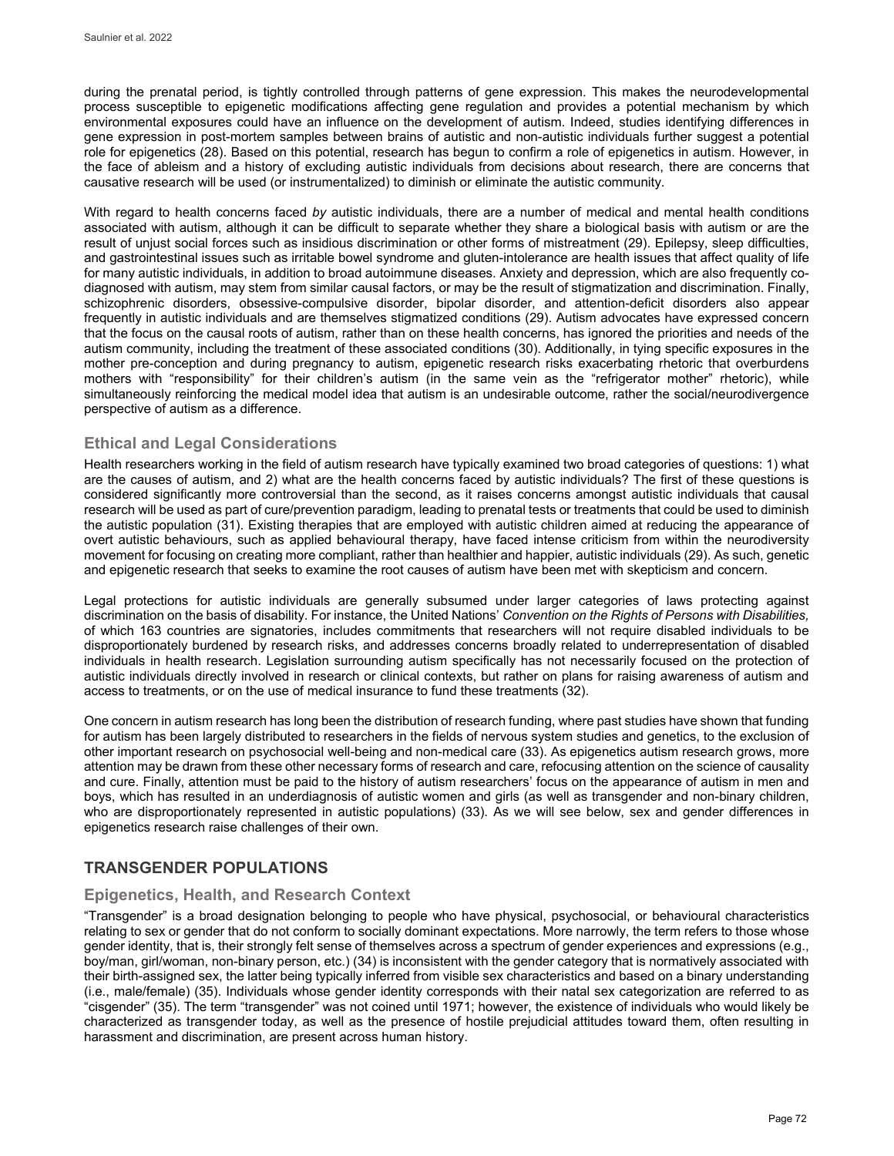during the prenatal period, is tightly controlled through patterns of gene expression. This makes the neurodevelopmental process susceptible to epigenetic modifications affecting gene regulation and provides a potential mechanism by which environmental exposures could have an influence on the development of autism. Indeed, studies identifying differences in gene expression in post-mortem samples between brains of autistic and non-autistic individuals further suggest a potential role for epigenetics (28). Based on this potential, research has begun to confirm a role of epigenetics in autism. However, in the face of ableism and a history of excluding autistic individuals from decisions about research, there are concerns that causative research will be used (or instrumentalized) to diminish or eliminate the autistic community.

With regard to health concerns faced *by* autistic individuals, there are a number of medical and mental health conditions associated with autism, although it can be difficult to separate whether they share a biological basis with autism or are the result of unjust social forces such as insidious discrimination or other forms of mistreatment (29). Epilepsy, sleep difficulties, and gastrointestinal issues such as irritable bowel syndrome and gluten-intolerance are health issues that affect quality of life for many autistic individuals, in addition to broad autoimmune diseases. Anxiety and depression, which are also frequently codiagnosed with autism, may stem from similar causal factors, or may be the result of stigmatization and discrimination. Finally, schizophrenic disorders, obsessive-compulsive disorder, bipolar disorder, and attention-deficit disorders also appear frequently in autistic individuals and are themselves stigmatized conditions (29). Autism advocates have expressed concern that the focus on the causal roots of autism, rather than on these health concerns, has ignored the priorities and needs of the autism community, including the treatment of these associated conditions (30). Additionally, in tying specific exposures in the mother pre-conception and during pregnancy to autism, epigenetic research risks exacerbating rhetoric that overburdens mothers with "responsibility" for their children's autism (in the same vein as the "refrigerator mother" rhetoric), while simultaneously reinforcing the medical model idea that autism is an undesirable outcome, rather the social/neurodivergence perspective of autism as a difference.

## **Ethical and Legal Considerations**

Health researchers working in the field of autism research have typically examined two broad categories of questions: 1) what are the causes of autism, and 2) what are the health concerns faced by autistic individuals? The first of these questions is considered significantly more controversial than the second, as it raises concerns amongst autistic individuals that causal research will be used as part of cure/prevention paradigm, leading to prenatal tests or treatments that could be used to diminish the autistic population (31). Existing therapies that are employed with autistic children aimed at reducing the appearance of overt autistic behaviours, such as applied behavioural therapy, have faced intense criticism from within the neurodiversity movement for focusing on creating more compliant, rather than healthier and happier, autistic individuals (29). As such, genetic and epigenetic research that seeks to examine the root causes of autism have been met with skepticism and concern.

Legal protections for autistic individuals are generally subsumed under larger categories of laws protecting against discrimination on the basis of disability. For instance, the United Nations' *Convention on the Rights of Persons with Disabilities,*  of which 163 countries are signatories, includes commitments that researchers will not require disabled individuals to be disproportionately burdened by research risks, and addresses concerns broadly related to underrepresentation of disabled individuals in health research. Legislation surrounding autism specifically has not necessarily focused on the protection of autistic individuals directly involved in research or clinical contexts, but rather on plans for raising awareness of autism and access to treatments, or on the use of medical insurance to fund these treatments (32).

One concern in autism research has long been the distribution of research funding, where past studies have shown that funding for autism has been largely distributed to researchers in the fields of nervous system studies and genetics, to the exclusion of other important research on psychosocial well-being and non-medical care (33). As epigenetics autism research grows, more attention may be drawn from these other necessary forms of research and care, refocusing attention on the science of causality and cure. Finally, attention must be paid to the history of autism researchers' focus on the appearance of autism in men and boys, which has resulted in an underdiagnosis of autistic women and girls (as well as transgender and non-binary children, who are disproportionately represented in autistic populations) (33). As we will see below, sex and gender differences in epigenetics research raise challenges of their own.

## **TRANSGENDER POPULATIONS**

## **Epigenetics, Health, and Research Context**

"Transgender" is a broad designation belonging to people who have physical, psychosocial, or behavioural characteristics relating to sex or gender that do not conform to socially dominant expectations. More narrowly, the term refers to those whose gender identity, that is, their strongly felt sense of themselves across a spectrum of gender experiences and expressions (e.g., boy/man, girl/woman, non-binary person, etc.) (34) is inconsistent with the gender category that is normatively associated with their birth-assigned sex, the latter being typically inferred from visible sex characteristics and based on a binary understanding (i.e., male/female) (35). Individuals whose gender identity corresponds with their natal sex categorization are referred to as "cisgender" (35). The term "transgender" was not coined until 1971; however, the existence of individuals who would likely be characterized as transgender today, as well as the presence of hostile prejudicial attitudes toward them, often resulting in harassment and discrimination, are present across human history.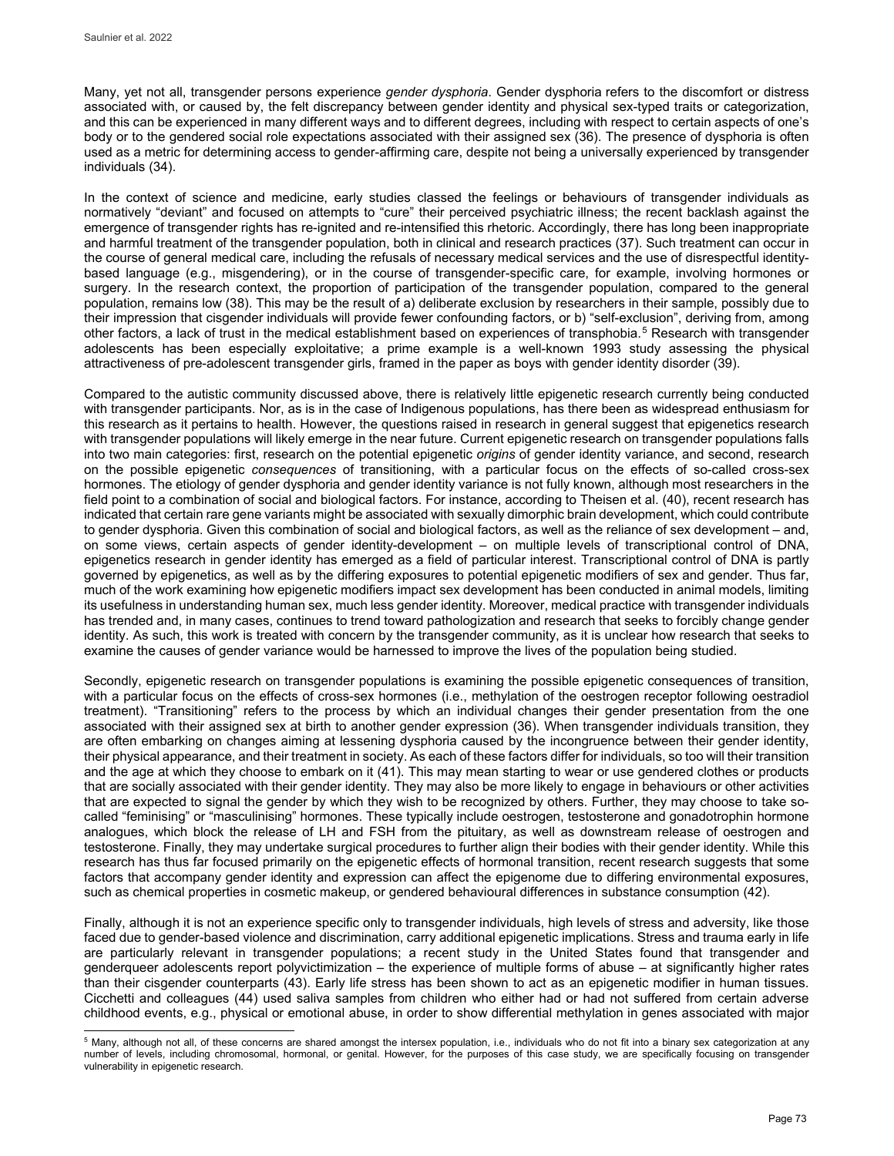Many, yet not all, transgender persons experience *gender dysphoria*. Gender dysphoria refers to the discomfort or distress associated with, or caused by, the felt discrepancy between gender identity and physical sex-typed traits or categorization, and this can be experienced in many different ways and to different degrees, including with respect to certain aspects of one's body or to the gendered social role expectations associated with their assigned sex (36). The presence of dysphoria is often used as a metric for determining access to gender-affirming care, despite not being a universally experienced by transgender individuals (34).

In the context of science and medicine, early studies classed the feelings or behaviours of transgender individuals as normatively "deviant" and focused on attempts to "cure" their perceived psychiatric illness; the recent backlash against the emergence of transgender rights has re-ignited and re-intensified this rhetoric. Accordingly, there has long been inappropriate and harmful treatment of the transgender population, both in clinical and research practices (37). Such treatment can occur in the course of general medical care, including the refusals of necessary medical services and the use of disrespectful identitybased language (e.g., misgendering), or in the course of transgender-specific care, for example, involving hormones or surgery. In the research context, the proportion of participation of the transgender population, compared to the general population, remains low (38). This may be the result of a) deliberate exclusion by researchers in their sample, possibly due to their impression that cisgender individuals will provide fewer confounding factors, or b) "self-exclusion", deriving from, among other factors, a lack of trust in the medical establishment based on experiences of transphobia.<sup>[5](#page-6-0)</sup> Research with transgender adolescents has been especially exploitative; a prime example is a well-known 1993 study assessing the physical attractiveness of pre-adolescent transgender girls, framed in the paper as boys with gender identity disorder (39).

Compared to the autistic community discussed above, there is relatively little epigenetic research currently being conducted with transgender participants. Nor, as is in the case of Indigenous populations, has there been as widespread enthusiasm for this research as it pertains to health. However, the questions raised in research in general suggest that epigenetics research with transgender populations will likely emerge in the near future. Current epigenetic research on transgender populations falls into two main categories: first, research on the potential epigenetic *origins* of gender identity variance, and second, research on the possible epigenetic *consequences* of transitioning, with a particular focus on the effects of so-called cross-sex hormones. The etiology of gender dysphoria and gender identity variance is not fully known, although most researchers in the field point to a combination of social and biological factors. For instance, according to Theisen et al. (40), recent research has indicated that certain rare gene variants might be associated with sexually dimorphic brain development, which could contribute to gender dysphoria. Given this combination of social and biological factors, as well as the reliance of sex development – and, on some views, certain aspects of gender identity-development – on multiple levels of transcriptional control of DNA, epigenetics research in gender identity has emerged as a field of particular interest. Transcriptional control of DNA is partly governed by epigenetics, as well as by the differing exposures to potential epigenetic modifiers of sex and gender. Thus far, much of the work examining how epigenetic modifiers impact sex development has been conducted in animal models, limiting its usefulness in understanding human sex, much less gender identity. Moreover, medical practice with transgender individuals has trended and, in many cases, continues to trend toward pathologization and research that seeks to forcibly change gender identity. As such, this work is treated with concern by the transgender community, as it is unclear how research that seeks to examine the causes of gender variance would be harnessed to improve the lives of the population being studied.

Secondly, epigenetic research on transgender populations is examining the possible epigenetic consequences of transition, with a particular focus on the effects of cross-sex hormones (i.e., methylation of the oestrogen receptor following oestradiol treatment). "Transitioning" refers to the process by which an individual changes their gender presentation from the one associated with their assigned sex at birth to another gender expression (36). When transgender individuals transition, they are often embarking on changes aiming at lessening dysphoria caused by the incongruence between their gender identity, their physical appearance, and their treatment in society. As each of these factors differ for individuals, so too will their transition and the age at which they choose to embark on it (41). This may mean starting to wear or use gendered clothes or products that are socially associated with their gender identity. They may also be more likely to engage in behaviours or other activities that are expected to signal the gender by which they wish to be recognized by others. Further, they may choose to take socalled "feminising" or "masculinising" hormones. These typically include oestrogen, testosterone and gonadotrophin hormone analogues, which block the release of LH and FSH from the pituitary, as well as downstream release of oestrogen and testosterone. Finally, they may undertake surgical procedures to further align their bodies with their gender identity. While this research has thus far focused primarily on the epigenetic effects of hormonal transition, recent research suggests that some factors that accompany gender identity and expression can affect the epigenome due to differing environmental exposures, such as chemical properties in cosmetic makeup, or gendered behavioural differences in substance consumption (42).

Finally, although it is not an experience specific only to transgender individuals, high levels of stress and adversity, like those faced due to gender-based violence and discrimination, carry additional epigenetic implications. Stress and trauma early in life are particularly relevant in transgender populations; a recent study in the United States found that transgender and genderqueer adolescents report polyvictimization – the experience of multiple forms of abuse – at significantly higher rates than their cisgender counterparts (43). Early life stress has been shown to act as an epigenetic modifier in human tissues. Cicchetti and colleagues (44) used saliva samples from children who either had or had not suffered from certain adverse childhood events, e.g., physical or emotional abuse, in order to show differential methylation in genes associated with major

<span id="page-6-0"></span>j  $^5$  Many, although not all, of these concerns are shared amongst the intersex population, i.e., individuals who do not fit into a binary sex categorization at any number of levels, including chromosomal, hormonal, or genital. However, for the purposes of this case study, we are specifically focusing on transgender vulnerability in epigenetic research.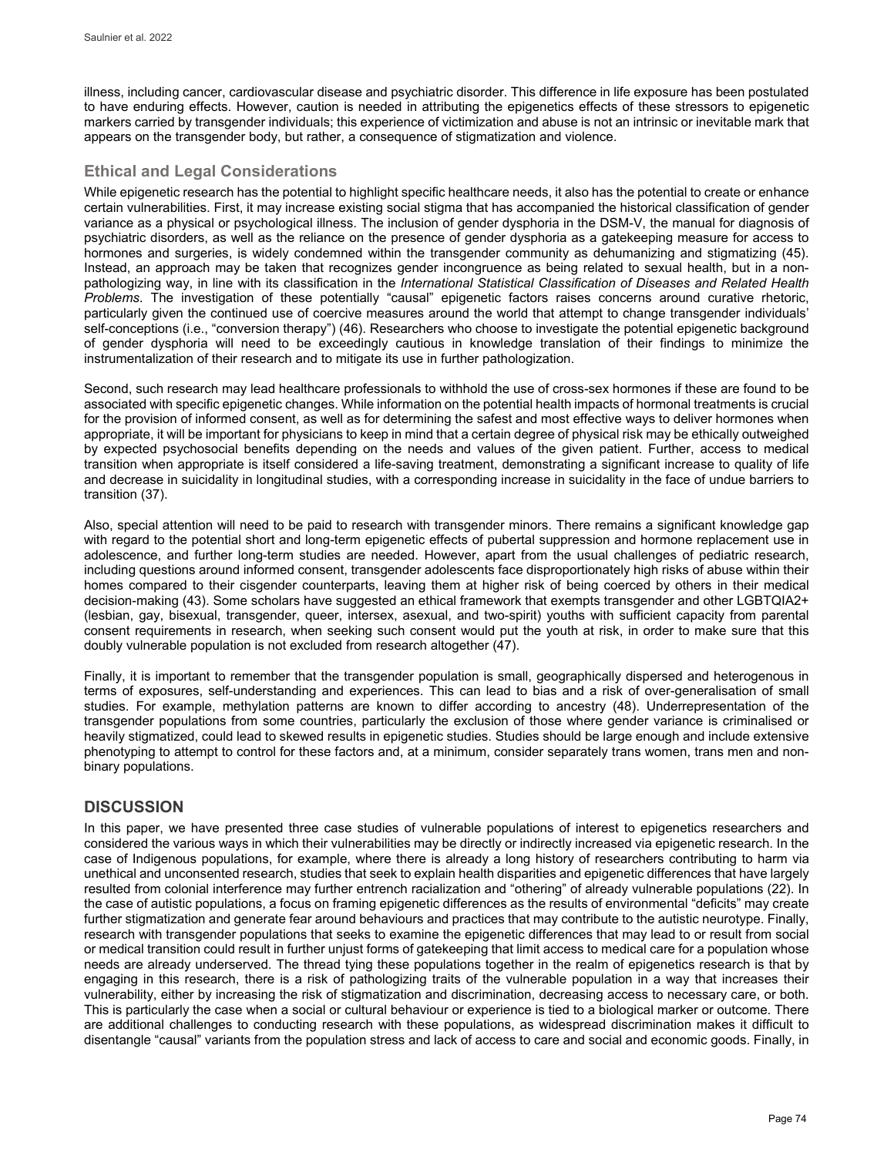illness, including cancer, cardiovascular disease and psychiatric disorder. This difference in life exposure has been postulated to have enduring effects. However, caution is needed in attributing the epigenetics effects of these stressors to epigenetic markers carried by transgender individuals; this experience of victimization and abuse is not an intrinsic or inevitable mark that appears on the transgender body, but rather, a consequence of stigmatization and violence.

## **Ethical and Legal Considerations**

While epigenetic research has the potential to highlight specific healthcare needs, it also has the potential to create or enhance certain vulnerabilities. First, it may increase existing social stigma that has accompanied the historical classification of gender variance as a physical or psychological illness. The inclusion of gender dysphoria in the DSM-V, the manual for diagnosis of psychiatric disorders, as well as the reliance on the presence of gender dysphoria as a gatekeeping measure for access to hormones and surgeries, is widely condemned within the transgender community as dehumanizing and stigmatizing (45). Instead, an approach may be taken that recognizes gender incongruence as being related to sexual health, but in a nonpathologizing way, in line with its classification in the *International Statistical Classification of Diseases and Related Health Problems*. The investigation of these potentially "causal" epigenetic factors raises concerns around curative rhetoric, particularly given the continued use of coercive measures around the world that attempt to change transgender individuals' self-conceptions (i.e., "conversion therapy") (46). Researchers who choose to investigate the potential epigenetic background of gender dysphoria will need to be exceedingly cautious in knowledge translation of their findings to minimize the instrumentalization of their research and to mitigate its use in further pathologization.

Second, such research may lead healthcare professionals to withhold the use of cross-sex hormones if these are found to be associated with specific epigenetic changes. While information on the potential health impacts of hormonal treatments is crucial for the provision of informed consent, as well as for determining the safest and most effective ways to deliver hormones when appropriate, it will be important for physicians to keep in mind that a certain degree of physical risk may be ethically outweighed by expected psychosocial benefits depending on the needs and values of the given patient. Further, access to medical transition when appropriate is itself considered a life-saving treatment, demonstrating a significant increase to quality of life and decrease in suicidality in longitudinal studies, with a corresponding increase in suicidality in the face of undue barriers to transition (37).

Also, special attention will need to be paid to research with transgender minors. There remains a significant knowledge gap with regard to the potential short and long-term epigenetic effects of pubertal suppression and hormone replacement use in adolescence, and further long-term studies are needed. However, apart from the usual challenges of pediatric research, including questions around informed consent, transgender adolescents face disproportionately high risks of abuse within their homes compared to their cisgender counterparts, leaving them at higher risk of being coerced by others in their medical decision-making (43). Some scholars have suggested an ethical framework that exempts transgender and other LGBTQIA2+ (lesbian, gay, bisexual, transgender, queer, intersex, asexual, and two-spirit) youths with sufficient capacity from parental consent requirements in research, when seeking such consent would put the youth at risk, in order to make sure that this doubly vulnerable population is not excluded from research altogether (47).

Finally, it is important to remember that the transgender population is small, geographically dispersed and heterogenous in terms of exposures, self-understanding and experiences. This can lead to bias and a risk of over-generalisation of small studies. For example, methylation patterns are known to differ according to ancestry (48). Underrepresentation of the transgender populations from some countries, particularly the exclusion of those where gender variance is criminalised or heavily stigmatized, could lead to skewed results in epigenetic studies. Studies should be large enough and include extensive phenotyping to attempt to control for these factors and, at a minimum, consider separately trans women, trans men and nonbinary populations.

## **DISCUSSION**

In this paper, we have presented three case studies of vulnerable populations of interest to epigenetics researchers and considered the various ways in which their vulnerabilities may be directly or indirectly increased via epigenetic research. In the case of Indigenous populations, for example, where there is already a long history of researchers contributing to harm via unethical and unconsented research, studies that seek to explain health disparities and epigenetic differences that have largely resulted from colonial interference may further entrench racialization and "othering" of already vulnerable populations (22). In the case of autistic populations, a focus on framing epigenetic differences as the results of environmental "deficits" may create further stigmatization and generate fear around behaviours and practices that may contribute to the autistic neurotype. Finally, research with transgender populations that seeks to examine the epigenetic differences that may lead to or result from social or medical transition could result in further unjust forms of gatekeeping that limit access to medical care for a population whose needs are already underserved. The thread tying these populations together in the realm of epigenetics research is that by engaging in this research, there is a risk of pathologizing traits of the vulnerable population in a way that increases their vulnerability, either by increasing the risk of stigmatization and discrimination, decreasing access to necessary care, or both. This is particularly the case when a social or cultural behaviour or experience is tied to a biological marker or outcome. There are additional challenges to conducting research with these populations, as widespread discrimination makes it difficult to disentangle "causal" variants from the population stress and lack of access to care and social and economic goods. Finally, in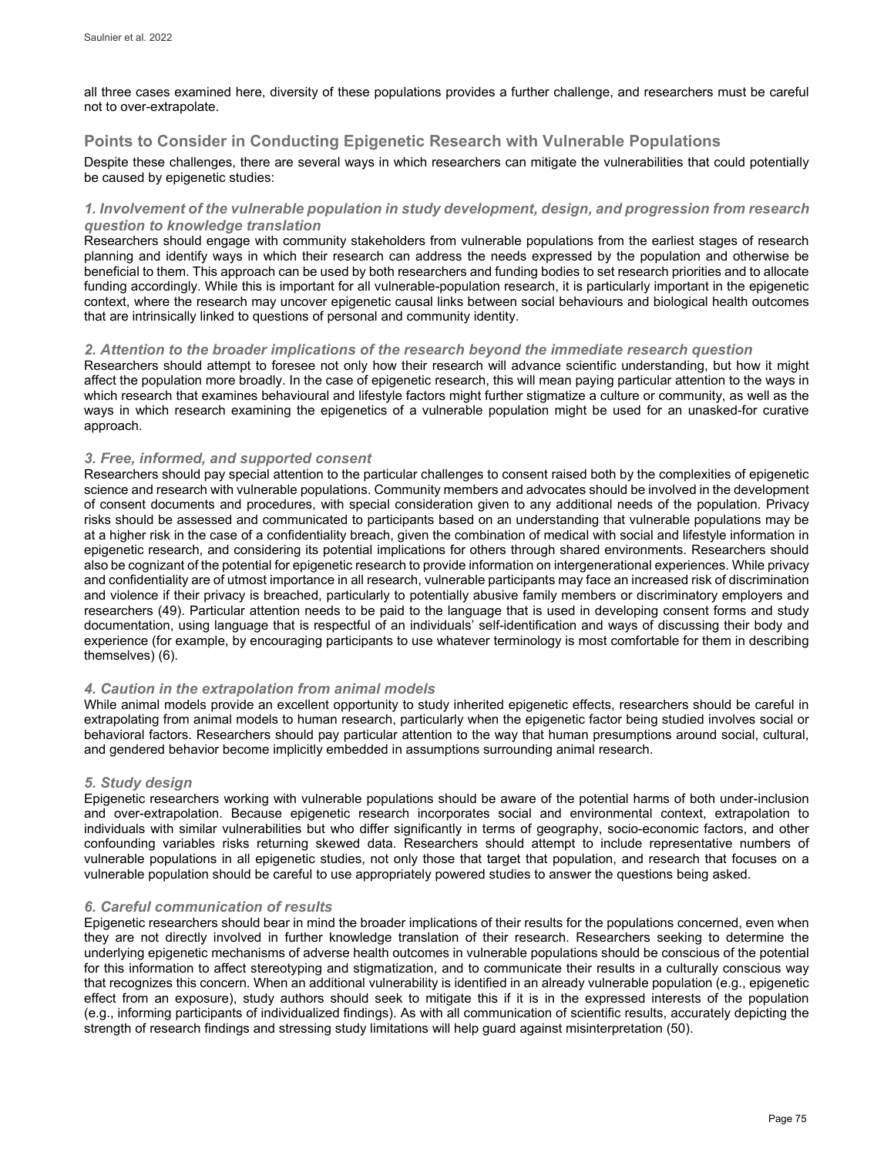all three cases examined here, diversity of these populations provides a further challenge, and researchers must be careful not to over-extrapolate.

## **Points to Consider in Conducting Epigenetic Research with Vulnerable Populations**

Despite these challenges, there are several ways in which researchers can mitigate the vulnerabilities that could potentially be caused by epigenetic studies:

### *1. Involvement of the vulnerable population in study development, design, and progression from research question to knowledge translation*

Researchers should engage with community stakeholders from vulnerable populations from the earliest stages of research planning and identify ways in which their research can address the needs expressed by the population and otherwise be beneficial to them. This approach can be used by both researchers and funding bodies to set research priorities and to allocate funding accordingly. While this is important for all vulnerable-population research, it is particularly important in the epigenetic context, where the research may uncover epigenetic causal links between social behaviours and biological health outcomes that are intrinsically linked to questions of personal and community identity.

#### *2. Attention to the broader implications of the research beyond the immediate research question*

Researchers should attempt to foresee not only how their research will advance scientific understanding, but how it might affect the population more broadly. In the case of epigenetic research, this will mean paying particular attention to the ways in which research that examines behavioural and lifestyle factors might further stigmatize a culture or community, as well as the ways in which research examining the epigenetics of a vulnerable population might be used for an unasked-for curative approach.

### *3. Free, informed, and supported consent*

Researchers should pay special attention to the particular challenges to consent raised both by the complexities of epigenetic science and research with vulnerable populations. Community members and advocates should be involved in the development of consent documents and procedures, with special consideration given to any additional needs of the population. Privacy risks should be assessed and communicated to participants based on an understanding that vulnerable populations may be at a higher risk in the case of a confidentiality breach, given the combination of medical with social and lifestyle information in epigenetic research, and considering its potential implications for others through shared environments. Researchers should also be cognizant of the potential for epigenetic research to provide information on intergenerational experiences. While privacy and confidentiality are of utmost importance in all research, vulnerable participants may face an increased risk of discrimination and violence if their privacy is breached, particularly to potentially abusive family members or discriminatory employers and researchers (49). Particular attention needs to be paid to the language that is used in developing consent forms and study documentation, using language that is respectful of an individuals' self-identification and ways of discussing their body and experience (for example, by encouraging participants to use whatever terminology is most comfortable for them in describing themselves) (6).

#### *4. Caution in the extrapolation from animal models*

While animal models provide an excellent opportunity to study inherited epigenetic effects, researchers should be careful in extrapolating from animal models to human research, particularly when the epigenetic factor being studied involves social or behavioral factors. Researchers should pay particular attention to the way that human presumptions around social, cultural, and gendered behavior become implicitly embedded in assumptions surrounding animal research.

#### *5. Study design*

Epigenetic researchers working with vulnerable populations should be aware of the potential harms of both under-inclusion and over-extrapolation. Because epigenetic research incorporates social and environmental context, extrapolation to individuals with similar vulnerabilities but who differ significantly in terms of geography, socio-economic factors, and other confounding variables risks returning skewed data. Researchers should attempt to include representative numbers of vulnerable populations in all epigenetic studies, not only those that target that population, and research that focuses on a vulnerable population should be careful to use appropriately powered studies to answer the questions being asked.

## *6. Careful communication of results*

Epigenetic researchers should bear in mind the broader implications of their results for the populations concerned, even when they are not directly involved in further knowledge translation of their research. Researchers seeking to determine the underlying epigenetic mechanisms of adverse health outcomes in vulnerable populations should be conscious of the potential for this information to affect stereotyping and stigmatization, and to communicate their results in a culturally conscious way that recognizes this concern. When an additional vulnerability is identified in an already vulnerable population (e.g., epigenetic effect from an exposure), study authors should seek to mitigate this if it is in the expressed interests of the population (e.g., informing participants of individualized findings). As with all communication of scientific results, accurately depicting the strength of research findings and stressing study limitations will help guard against misinterpretation (50).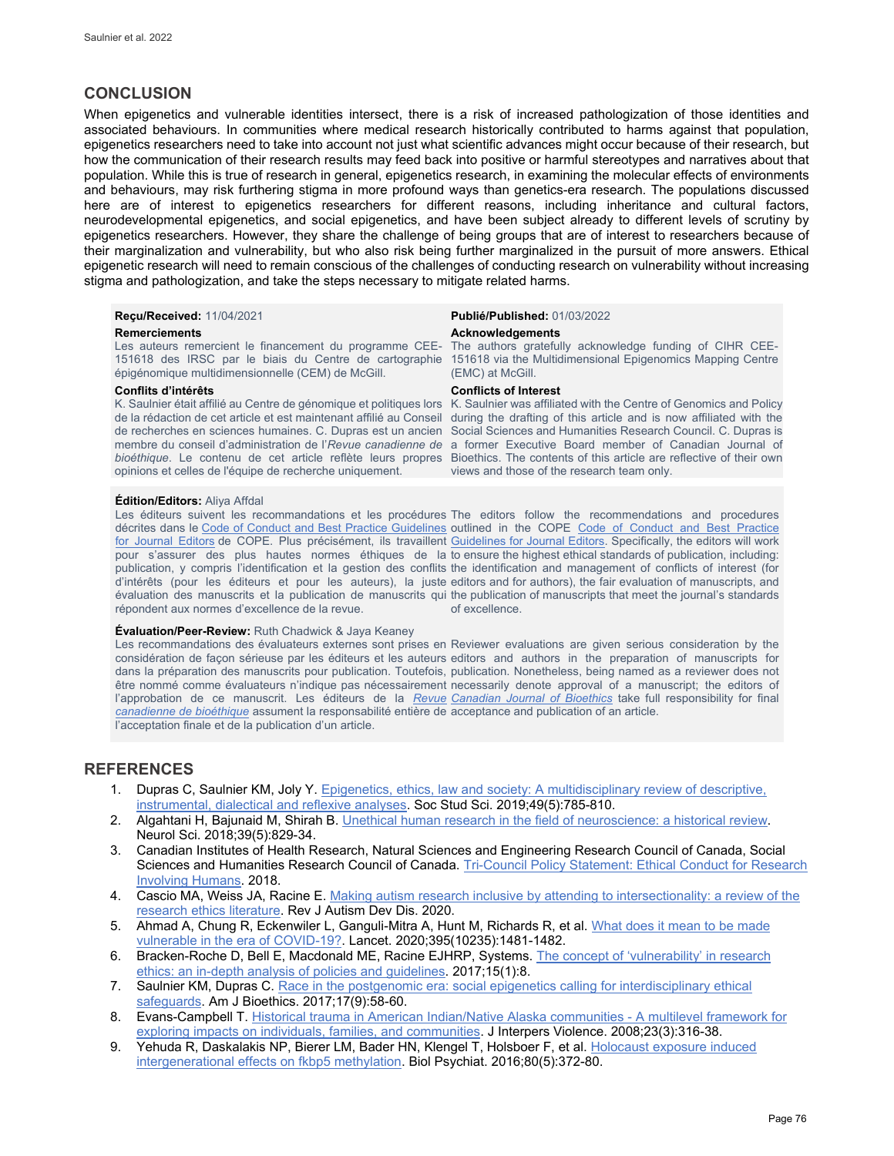## **CONCLUSION**

When epigenetics and vulnerable identities intersect, there is a risk of increased pathologization of those identities and associated behaviours. In communities where medical research historically contributed to harms against that population, epigenetics researchers need to take into account not just what scientific advances might occur because of their research, but how the communication of their research results may feed back into positive or harmful stereotypes and narratives about that population. While this is true of research in general, epigenetics research, in examining the molecular effects of environments and behaviours, may risk furthering stigma in more profound ways than genetics-era research. The populations discussed here are of interest to epigenetics researchers for different reasons, including inheritance and cultural factors, neurodevelopmental epigenetics, and social epigenetics, and have been subject already to different levels of scrutiny by epigenetics researchers. However, they share the challenge of being groups that are of interest to researchers because of their marginalization and vulnerability, but who also risk being further marginalized in the pursuit of more answers. Ethical epigenetic research will need to remain conscious of the challenges of conducting research on vulnerability without increasing stigma and pathologization, and take the steps necessary to mitigate related harms.

Les auteurs remercient le financement du programme CEE-151618 des IRSC par le biais du Centre de cartographie épigénomique multidimensionnelle (CEM) de McGill.

opinions et celles de l'équipe de recherche uniquement.

#### **Édition/Editors:** Aliya Affdal

Les éditeurs suivent les recommandations et les procédures The editors follow the recommendations and procedures décrites dans le Code of Conduct [and Best Practice Guidelines](http://publicationethics.org/resources/code-conduct) outlined in the COPE Code of Conduct and Best Practice [for Journal Editors](http://publicationethics.org/resources/code-conduct) de COPE. Plus précisément, ils travaillent [Guidelines for Journal Editors.](http://publicationethics.org/resources/code-conduct) Specifically, the editors will work pour s'assurer des plus hautes normes éthiques de la toensure the highestethical standardsofpublication, including: publication, y compris l'identification et la gestion des conflits the identification and management of conflicts of interest (for d'intérêts (pour les éditeurs et pour les auteurs), la juste editors and for authors), the fair evaluation of manuscripts, and évaluation des manuscrits et la publication de manuscrits qui the publication of manuscripts that meet the journal's standards répondent aux normes d'excellence de la revue.

#### **Évaluation/Peer-Review:** Ruth Chadwick & Jaya Keaney

Les recommandations des évaluateurs externes sont prises en Reviewer evaluations are given serious consideration by the considération de façon sérieuse par les éditeurs et les auteurs editors and authors in the preparation of manuscripts for dans la préparation des manuscrits pour publication. Toutefois, publication. Nonetheless, being named as a reviewer does not être nommé comme évaluateurs n'indique pas nécessairement necessarily denote approval of a manuscript; the editors of l'approbation de ce manuscrit. Les éditeurs de la <u>*Revue* [Canadian Journal of Bioethics](http://cjb-rcb.ca/)</u> take full responsibility for final *[canadienne de bioéthique](http://cjb-rcb.ca/)* assument la responsabilité entière de acceptance and publication of an article. l'acceptation finale et de la publication d'un article.

#### **Reçu/Received:** 11/04/2021 **Publié/Published:** 01/03/2022

#### **Remerciements Acknowledgements**

The authors gratefully acknowledge funding of CIHR CEE-151618 via the Multidimensional Epigenomics Mapping Centre (EMC) at McGill.

#### **Conflits d'intérêts Conflicts of Interest**

K. Saulnier était affilié au Centre de génomique et politiques lors K. Saulnier was affiliated with the Centre of Genomics and Policy de la rédaction de cet article et est maintenant affilié au Conseil during the drafting of this article and is now affiliated with the de recherches en sciences humaines. C. Dupras est un ancien Social Sciences and Humanities Research Council. C. Dupras is membre du conseil d'administration de l'*Revue canadienne de*  a former Executive Board member of Canadian Journal of bioéthique. Le contenu de cet article reflète leurs propres Bioethics. The contents of this article are reflective of their own views and those of the research team only.

of excellence.

### **REFERENCES**

- 1. Dupras C, Saulnier KM, Joly Y. [Epigenetics, ethics, law and society: A multidisciplinary review of descriptive,](https://journals.sagepub.com/doi/full/10.1177/0306312719866007)  [instrumental, dialectical and reflexive analyses.](https://journals.sagepub.com/doi/full/10.1177/0306312719866007) Soc Stud Sci. 2019;49(5):785-810.
- 2. Algahtani H, Bajunaid M, Shirah B[. Unethical human research in the field of neuroscience: a historical review.](https://www.ncbi.nlm.nih.gov/pubmed/29460160) Neurol Sci. 2018;39(5):829-34.
- 3. Canadian Institutes of Health Research, Natural Sciences and Engineering Research Council of Canada, Social Sciences and Humanities Research Council of Canada[. Tri-Council Policy Statement: Ethical Conduct for Research](https://ethics.gc.ca/eng/policy-politique_tcps2-eptc2_2018.html)  [Involving Humans.](https://ethics.gc.ca/eng/policy-politique_tcps2-eptc2_2018.html) 2018.
- 4. Cascio MA, Weiss JA, Racine E. Making autism research inclusive by attending to intersectionality: a review of the [research ethics literature.](https://link.springer.com/article/10.1007/s40489-020-00204-z) Rev J Autism Dev Dis. 2020.
- 5. Ahmad A, Chung R, Eckenwiler L, Ganguli-Mitra A, Hunt M, Richards R, et al. What does it mean to be made [vulnerable in the era of COVID-19?.](https://www.thelancet.com/journals/lancet/article/PIIS0140-6736(20)30979-X/fulltext) Lancet. 2020;395(10235):1481-1482.
- 6. Bracken-Roche D, Bell E, Macdonald ME, Racine EJHRP, Systems[. The concept of 'vulnerability' in research](https://doi.org/10.1186/s12961-016-0164-6)  [ethics: an in-depth analysis of policies and guidelines.](https://doi.org/10.1186/s12961-016-0164-6) 2017;15(1):8.
- 7. Saulnier KM, Dupras C[. Race in the postgenomic era: social epigenetics calling for interdisciplinary ethical](https://www.tandfonline.com/doi/abs/10.1080/15265161.2017.1353182?journalCode=uajb20)  [safeguards.](https://www.tandfonline.com/doi/abs/10.1080/15265161.2017.1353182?journalCode=uajb20) Am J Bioethics. 2017;17(9):58-60.
- 8. Evans-Campbell T. Historical [trauma in American Indian/Native Alaska communities A multilevel framework for](https://journals.sagepub.com/doi/10.1177/0886260507312290)  [exploring impacts on individuals, families, and communities.](https://journals.sagepub.com/doi/10.1177/0886260507312290) J Interpers Violence. 2008;23(3):316-38.
- 9. Yehuda R, Daskalakis NP, Bierer LM, Bader HN, Klengel T, Holsboer F, et al[. Holocaust exposure induced](https://www.biologicalpsychiatryjournal.com/article/S0006-3223(15)00652-6/pdf)  [intergenerational effects on fkbp5 methylation.](https://www.biologicalpsychiatryjournal.com/article/S0006-3223(15)00652-6/pdf) Biol Psychiat. 2016;80(5):372-80.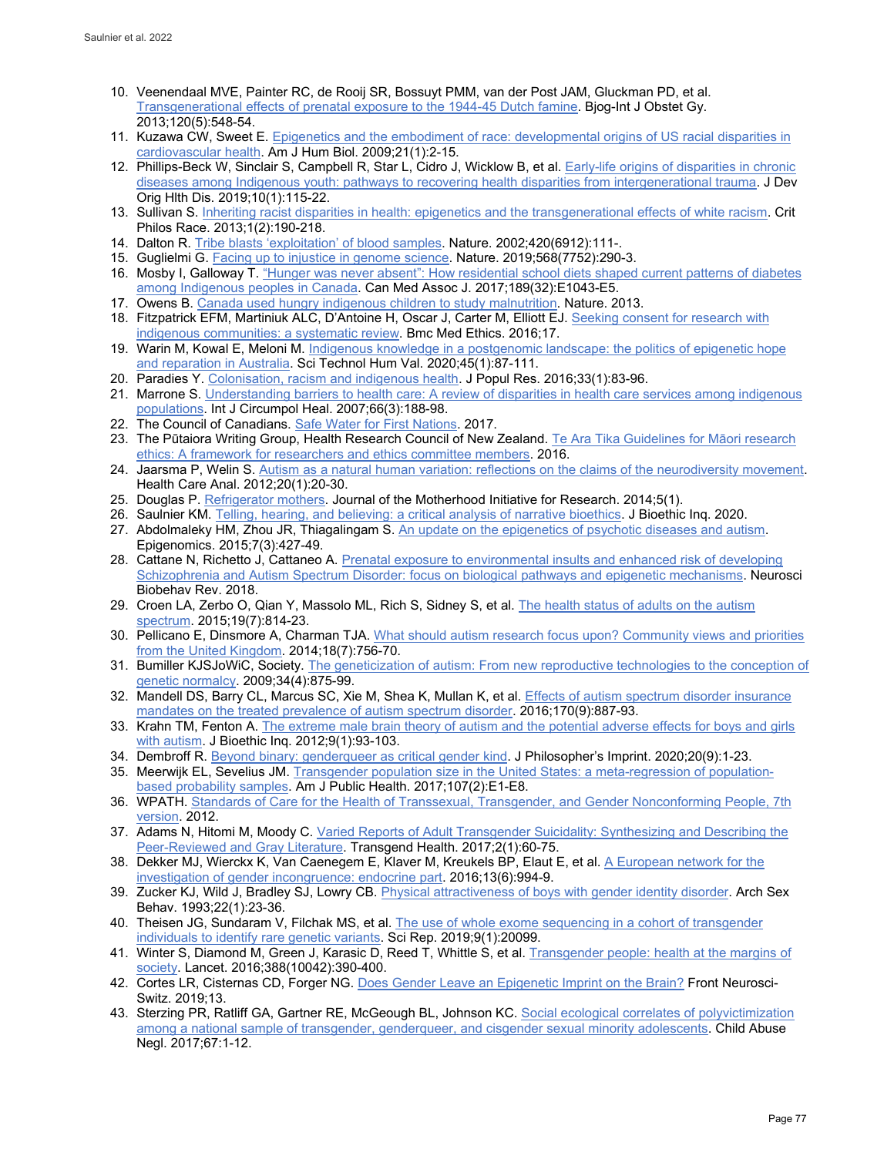- 10. Veenendaal MVE, Painter RC, de Rooij SR, Bossuyt PMM, van der Post JAM, Gluckman PD, et al. [Transgenerational effects of prenatal exposure to the 1944-45 Dutch famine.](https://pubmed.ncbi.nlm.nih.gov/23346894/) Biog-Int J Obstet Gy. 2013;120(5):548-54.
- 11. Kuzawa CW, Sweet E. Epigenetics [and the embodiment of race: developmental origins of US](https://pubmed.ncbi.nlm.nih.gov/18925573/) racial disparities in [cardiovascular health.](https://pubmed.ncbi.nlm.nih.gov/18925573/) Am J Hum Biol. 2009;21(1):2-15.
- 12. Phillips-Beck W, Sinclair S, Campbell R, Star L, Cidro J, Wicklow B, et al. Early-life origins of disparities in chronic [diseases among Indigenous youth: pathways to recovering health disparities from intergenerational trauma.](https://pubmed.ncbi.nlm.nih.gov/30223914/) J Dev Orig Hlth Dis. 2019;10(1):115-22.
- 13. Sullivan S[. Inheriting racist disparities in health: epigenetics and the transgenerational effects of white racism.](https://www.jstor.org/stable/10.5325/critphilrace.1.2.0190) Crit Philos Race. 2013;1(2):190-218.
- 14. Dalton R[. Tribe blasts 'exploitation' of blood samples.](https://www.nature.com/articles/420111a) Nature. 2002;420(6912):111-.
- 15. Guglielmi G[. Facing up to injustice in genome science.](https://www.ncbi.nlm.nih.gov/pubmed/30992587) Nature. 2019;568(7752):290-3.
- 16. Mosby I, Galloway T. ["Hunger was never absent": How residential school diets shaped current patterns of diabetes](https://www.cmaj.ca/content/189/32/E1043)  [among Indigenous peoples in Canada.](https://www.cmaj.ca/content/189/32/E1043) Can Med Assoc J. 2017;189(32):E1043-E5.
- 17. Owens B. [Canada used hungry indigenous children to study malnutrition.](https://www.nature.com/articles/nature.2013.13425) Nature. 2013.
- 18. Fitzpatrick EFM, Martiniuk ALC, D'Antoine H, Oscar J, Carter M, Elliott EJ[. Seeking consent for research with](https://www.ncbi.nlm.nih.gov/pmc/articles/PMC5075161/)  [indigenous communities: a systematic review.](https://www.ncbi.nlm.nih.gov/pmc/articles/PMC5075161/) Bmc Med Ethics. 2016;17.
- 19. Warin M, Kowal E, Meloni M. Indigenous knowledge in a postgenomic landscape: the politics of epigenetic hope [and reparation in Australia.](https://journals.sagepub.com/doi/full/10.1177/0162243919831077) Sci Technol Hum Val. 2020;45(1):87-111.
- 20. Paradies Y[. Colonisation, racism and indigenous health.](https://link.springer.com/article/10.1007/s12546-016-9159-y) J Popul Res. 2016;33(1):83-96.
- 21. Marrone S. Understanding barriers to health care: A review of disparities in health care services among indigenous [populations.](https://www.tandfonline.com/doi/pdf/10.3402/ijch.v66i3.18254) Int J Circumpol Heal. 2007;66(3):188-98.
- 22. The Council of Canadians. [Safe Water for First Nations.](https://canadians.org/fn-water) 2017.
- 23. The Pūtaiora Writing Group, Health Research Council of New Zealand. Te Ara Tika [Guidelines for Māori research](https://www.hrc.govt.nz/resources/te-ara-tika-guidelines-maori-research-ethics-0)  [ethics: A framework for researchers and ethics committee members.](https://www.hrc.govt.nz/resources/te-ara-tika-guidelines-maori-research-ethics-0) 2016.
- 24. Jaarsma P, Welin S[. Autism as a natural human variation: reflections on the claims of the neurodiversity movement.](https://pubmed.ncbi.nlm.nih.gov/21311979/) Health Care Anal. 2012;20(1):20-30.
- 25. Douglas P. [Refrigerator mothers.](https://jarm.journals.yorku.ca/index.php/jarm/article/view/39328) Journal of the Motherhood Initiative for Research. 2014;5(1).
- 26. Saulnier KM. Telling, [hearing, and believing: a critical analysis of narrative bioethics.](https://pubmed.ncbi.nlm.nih.gov/32180110/) J Bioethic Inq. 2020.
- 27. Abdolmaleky HM, Zhou JR, Thiagalingam S. [An update on the epigenetics of psychotic diseases and autism.](https://pubmed.ncbi.nlm.nih.gov/26077430/)  Epigenomics. 2015;7(3):427-49.
- 28. Cattane N, Richetto J, Cattaneo A. Prenatal exposure to environmental insults and enhanced risk of developing [Schizophrenia and Autism Spectrum Disorder: focus on biological pathways and epigenetic mechanisms.](https://europepmc.org/article/med/29981347) Neurosci Biobehav Rev. 2018.
- 29. Croen LA, Zerbo O, Qian Y, Massolo ML, Rich S, Sidney S, et al. [The health status of adults on the autism](https://pubmed.ncbi.nlm.nih.gov/25911091/)  [spectrum.](https://pubmed.ncbi.nlm.nih.gov/25911091/) 2015;19(7):814-23.
- 30. Pellicano E, Dinsmore A, Charman TJA. [What should autism research focus upon? Community views and priorities](https://pubmed.ncbi.nlm.nih.gov/24789871/)  [from the United Kingdom.](https://pubmed.ncbi.nlm.nih.gov/24789871/) 2014;18(7):756-70.
- 31. Bumiller KJSJoWiC, Society. The geneticization of autism: From new reproductive technologies to the conception of [genetic normalcy.](https://www.jstor.org/stable/10.1086/597130) 2009;34(4):875-99.
- 32. Mandell DS, Barry CL, Marcus SC, Xie M, Shea K, Mullan K, et al. Effects of autism spectrum disorder insurance [mandates on the treated prevalence of autism spectrum disorder.](https://jamanetwork.com/journals/jamapediatrics/fullarticle/2532586) 2016;170(9):887-93.
- 33. Krahn TM, Fenton A. The extreme male brain theory of autism and the potential adverse effects for boys and girls [with autism.](https://pubmed.ncbi.nlm.nih.gov/23180205/) J Bioethic Inq. 2012;9(1):93-103.
- 34. Dembroff R. Beyond [binary: genderqueer as critical gender kind.](https://philpapers.org/archive/DEMBBG-2.pdf) J Philosopher's Imprint. 2020;20(9):1-23.
- 35. Meerwijk EL, Sevelius JM. [Transgender population size in the United States: a meta-regression of population](https://pubmed.ncbi.nlm.nih.gov/28075632/)[based probability samples.](https://pubmed.ncbi.nlm.nih.gov/28075632/) Am J Public Health. 2017;107(2):E1-E8.
- 36. WPATH. [Standards of Care for the Health of Transsexual, Transgender, and Gender Nonconforming People, 7th](https://www.wpath.org/publications/soc)  [version.](https://www.wpath.org/publications/soc) 2012.
- 37. Adams N, Hitomi M, Moody C. [Varied Reports of Adult Transgender Suicidality: Synthesizing and Describing the](https://www.ncbi.nlm.nih.gov/pubmed/28861548)  [Peer-Reviewed and Gray Literature.](https://www.ncbi.nlm.nih.gov/pubmed/28861548) Transgend Health. 2017;2(1):60-75.
- 38. Dekker MJ, Wierckx K, Van Caenegem E, Klaver M, Kreukels BP, Elaut E, et al. [A European network for the](https://www.sciencedirect.com/science/article/abs/pii/S1743609516300868)  [investigation of gender incongruence: endocrine part.](https://www.sciencedirect.com/science/article/abs/pii/S1743609516300868) 2016;13(6):994-9.
- 39. Zucker KJ, Wild J, Bradley SJ, Lowry CB. [Physical attractiveness of boys with gender identity disorder.](https://www.ncbi.nlm.nih.gov/pubmed/8435037) Arch Sex Behav. 1993;22(1):23-36.
- 40. Theisen JG, Sundaram V, Filchak MS, et al. The use of whole exome sequencing in a cohort of transgender [individuals to identify rare genetic variants.](https://www.nature.com/articles/s41598-019-53500-y) Sci Rep. 2019;9(1):20099.
- 41. Winter S, Diamond M, Green J, Karasic D, Reed T, Whittle S, et al[. Transgender people: health at the margins of](https://www.thelancet.com/journals/lancet/article/PIIS0140-6736(16)00683-8/fulltext)  [society.](https://www.thelancet.com/journals/lancet/article/PIIS0140-6736(16)00683-8/fulltext) Lancet. 2016;388(10042):390-400.
- 42. Cortes LR, Cisternas CD, Forger NG. [Does Gender Leave an Epigenetic Imprint on the Brain?](https://www.ncbi.nlm.nih.gov/pmc/articles/PMC6400866/) Front Neurosci-Switz. 2019;13.
- 43. Sterzing PR, Ratliff GA, Gartner RE, McGeough BL, Johnson KC. [Social ecological correlates of polyvictimization](https://www.ncbi.nlm.nih.gov/pubmed/28226283)  [among a national sample of transgender, genderqueer, and cisgender sexual minority adolescents.](https://www.ncbi.nlm.nih.gov/pubmed/28226283) Child Abuse Negl. 2017;67:1-12.